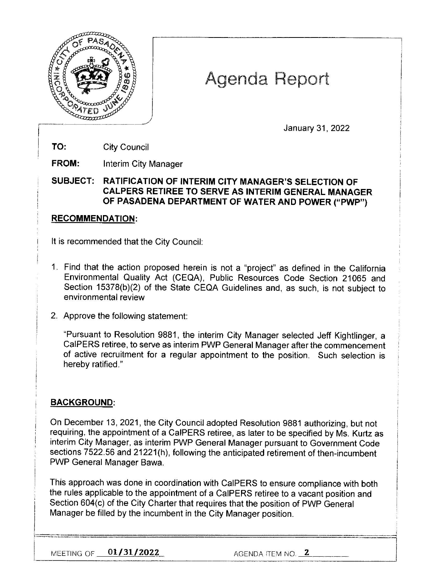

# Agenda Report

January 31, 2022

**TO:** City Council

**FROM:** Interim City Manager

**SUBJECT: RATIFICATION OF INTERIM CITY MANAGER'S SELECTION OF CALPERS RETIREE TO SERVE AS INTERIM GENERAL MANAGER OF PASADENA DEPARTMENT OF WATER AND POWER ("PWP")** 

## **RECOMMENDATION:**

It is recommended that the City Council:

- 1. Find that the action proposed herein is not a "project" as defined in the California Environmental Quality Act (CEQA), Public Resources Code Section 21065 and Section 15378(b)(2) of the State CEQA Guidelines and, as such, is not subject to environmental review
- 2. Approve the following statement:

"Pursuant to Resolution 9881, the interim City Manager selected Jeff Kightlinger, a CalPERS retiree, to serve as interim PWP General Manager after the commencement of active recruitment for a regular appointment to the position. Such selection is hereby ratified."

# **BACKGROUND:**

On December 13, 2021, the City Council adopted Resolution 9881 authorizing, but not requiring, the appointment of a CalPERS retiree, as later to be specified by Ms. Kurtz as interim City Manager, as interim PWP General Manager pursuant to Government Code sections 7522.56 and 21221(h), following the anticipated retirement of then-incumbent PWP General Manager Bawa.

This approach was done in coordination with CalPERS to ensure compliance with both the rules applicable to the appointment of a CalPERS retiree to a vacant position and Section 604(c) of the City Charter that requires that the position of PWP General Manager be filled by the incumbent in the City Manager position.

·--·· ·-=·=-=============================i

MEETING OF **01/31/2022** AGENDA ITEM NO. **\_2 \_\_ \_**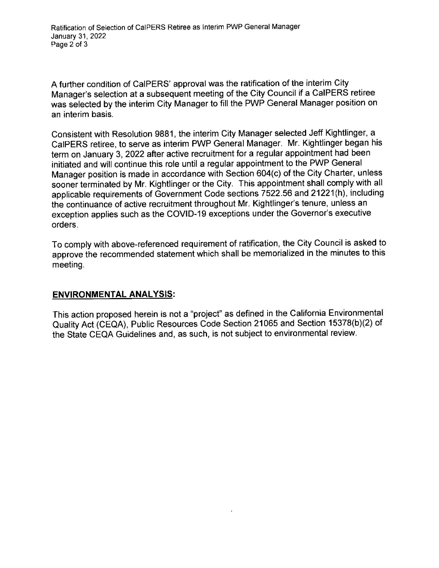A further condition of CalPERS' approval was the ratification of the interim Citv Manager's selection at a subsequent meeting of the City Council if a CalPERS retiree was selected by the interim City Manager to fill the PWP General Manager position on an interim basis.

Consistent with Resolution 9881, the interim City Manager selected Jeff Kightlinger, a CalPERS retiree, to serve as interim PWP General Manager. Mr. Kightlinger began his term on January 3, 2022 after active recruitment for a regular appointment had been initiated and will continue this role until a regular appointment to the PWP General Manager position is made in accordance with Section 604(c) of the City Charter, unless sooner terminated by Mr. Kightlinger or the City. This appointment shall comply with all applicable requirements of Government Code sections 7522.56 and 21221 (h), including the continuance of active recruitment throughout Mr. Kightlinger's tenure, unless an exception applies such as the COVID-19 exceptions under the Governor's executive orders.

To comply with above-referenced requirement of ratification, the City Council is asked to approve the recommended statement which shall be memorialized in the minutes to this meeting.

### **ENVIRONMENTAL ANALYSIS:**

This action proposed herein is not a "project" as defined in the California Environmental Quality Act (CEQA), Public Resources Code Section 21065 and Section 15378(b)(2) of the State CEQA Guidelines and, as such, is not subject to environmental review.